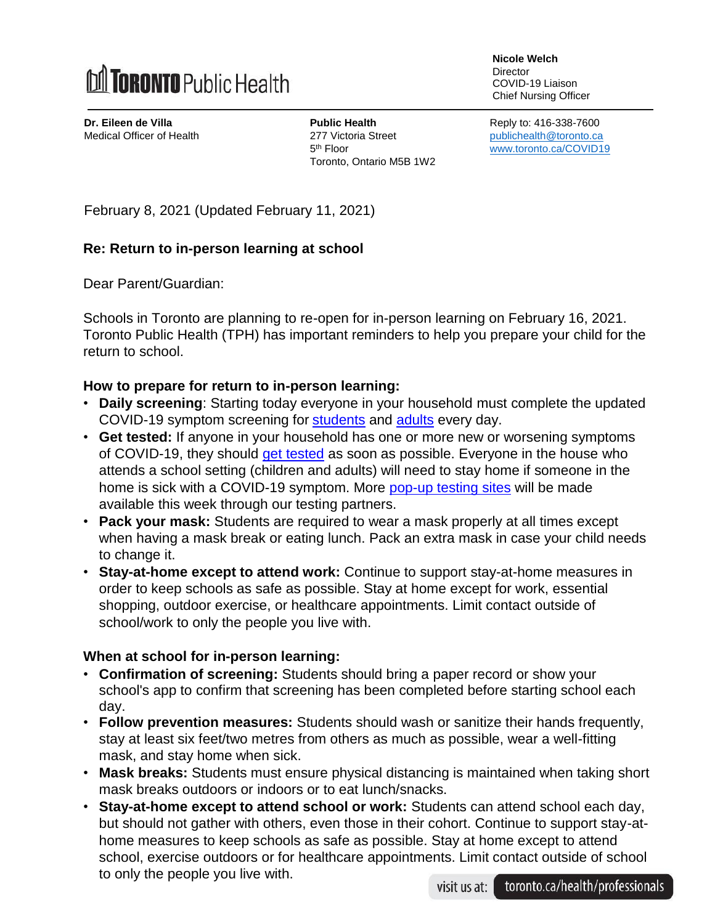

**Nicole Welch Director** COVID-19 Liaison Chief Nursing Officer

**Dr. Eileen de Villa Public Health <b>Public Health Reply to: 416-338-7600** Medical Officer of Health 277 Victoria Street[publichealth@toronto.ca](mailto:publichealth@toronto.ca) 5<sup>th</sup> Floor Toronto, Ontario M5B 1W2

[www.toronto.ca/COVID19](http://www.toronto.ca/COVID19)

February 8, 2021 (Updated February 11, 2021)

## **Re: Return to in-person learning at school**

Dear Parent/Guardian:

Schools in Toronto are planning to re-open for in-person learning on February 16, 2021. Toronto Public Health (TPH) has important reminders to help you prepare your child for the return to school.

## **How to prepare for return to in-person learning:**

- **Daily screening**: Starting today everyone in your household must complete the updated COVID-19 symptom screening for [students](https://www.toronto.ca/wp-content/uploads/2020/08/94e5-Survey-poster-Schools.pdf) and [adults](https://www.toronto.ca/wp-content/uploads/2020/12/9242-Screening-Questionaire-for-Staff-Visitors.pdf) every day.
- **Get tested:** If anyone in your household has one or more new or worsening symptoms of COVID-19, they should [get tested](https://www.toronto.ca/home/covid-19/covid-19-what-you-should-do/covid-19-have-symptoms-or-been-exposed/covid-19-assessment-centres/) as soon as possible. Everyone in the house who attends a school setting (children and adults) will need to stay home if someone in the home is sick with a COVID-19 symptom. More [pop-up testing sites](https://www.toronto.ca/home/covid-19/covid-19-what-you-should-do/covid-19-have-symptoms-or-been-exposed/covid-19-assessment-centres/) will be made available this week through our testing partners.
- **Pack your mask:** Students are required to wear a mask properly at all times except when having a mask break or eating lunch. Pack an extra mask in case your child needs to change it.
- **Stay-at-home except to attend work:** Continue to support stay-at-home measures in order to keep schools as safe as possible. Stay at home except for work, essential shopping, outdoor exercise, or healthcare appointments. Limit contact outside of school/work to only the people you live with.

## **When at school for in-person learning:**

- **Confirmation of screening:** Students should bring a paper record or show your school's app to confirm that screening has been completed before starting school each day.
- **Follow prevention measures:** Students should wash or sanitize their hands frequently, stay at least six feet/two metres from others as much as possible, wear a well-fitting mask, and stay home when sick.
- **Mask breaks:** Students must ensure physical distancing is maintained when taking short mask breaks outdoors or indoors or to eat lunch/snacks.
- **Stay-at-home except to attend school or work:** Students can attend school each day, but should not gather with others, even those in their cohort. Continue to support stay-athome measures to keep schools as safe as possible. Stay at home except to attend school, exercise outdoors or for healthcare appointments. Limit contact outside of school to only the people you live with.